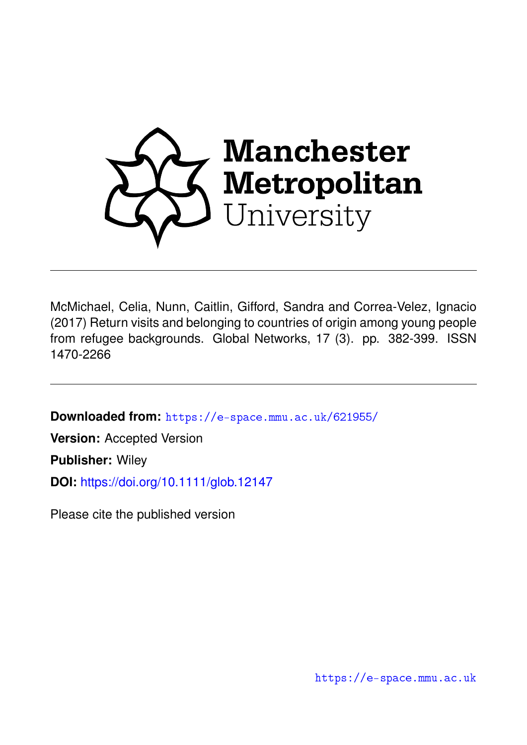

McMichael, Celia, Nunn, Caitlin, Gifford, Sandra and Correa-Velez, Ignacio (2017) Return visits and belonging to countries of origin among young people from refugee backgrounds. Global Networks, 17 (3). pp. 382-399. ISSN 1470-2266

**Downloaded from:** <https://e-space.mmu.ac.uk/621955/>

**Version:** Accepted Version

**Publisher:** Wiley

**DOI:** <https://doi.org/10.1111/glob.12147>

Please cite the published version

<https://e-space.mmu.ac.uk>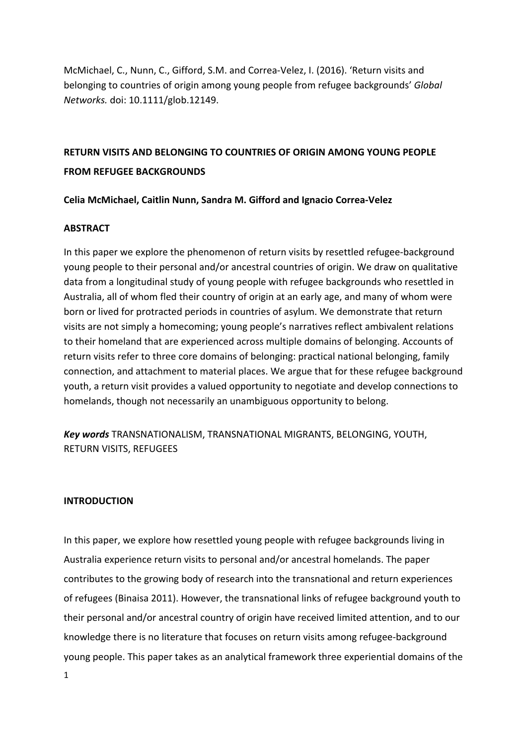McMichael, C., Nunn, C., Gifford, S.M. and Correa-Velez, I. (2016). 'Return visits and belonging to countries of origin among young people from refugee backgrounds' *Global Networks.* doi: 10.1111/glob.12149.

## **RETURN VISITS AND BELONGING TO COUNTRIES OF ORIGIN AMONG YOUNG PEOPLE FROM REFUGEE BACKGROUNDS**

## **Celia McMichael, Caitlin Nunn, Sandra M. Gifford and Ignacio Correa-Velez**

## **ABSTRACT**

In this paper we explore the phenomenon of return visits by resettled refugee-background young people to their personal and/or ancestral countries of origin. We draw on qualitative data from a longitudinal study of young people with refugee backgrounds who resettled in Australia, all of whom fled their country of origin at an early age, and many of whom were born or lived for protracted periods in countries of asylum. We demonstrate that return visits are not simply a homecoming; young people's narratives reflect ambivalent relations to their homeland that are experienced across multiple domains of belonging. Accounts of return visits refer to three core domains of belonging: practical national belonging, family connection, and attachment to material places. We argue that for these refugee background youth, a return visit provides a valued opportunity to negotiate and develop connections to homelands, though not necessarily an unambiguous opportunity to belong.

*Key words* TRANSNATIONALISM, TRANSNATIONAL MIGRANTS, BELONGING, YOUTH, **RETURN VISITS, REFUGEES** 

## **INTRODUCTION**

In this paper, we explore how resettled young people with refugee backgrounds living in Australia experience return visits to personal and/or ancestral homelands. The paper contributes to the growing body of research into the transnational and return experiences of refugees (Binaisa 2011). However, the transnational links of refugee background youth to their personal and/or ancestral country of origin have received limited attention, and to our knowledge there is no literature that focuses on return visits among refugee-background young people. This paper takes as an analytical framework three experiential domains of the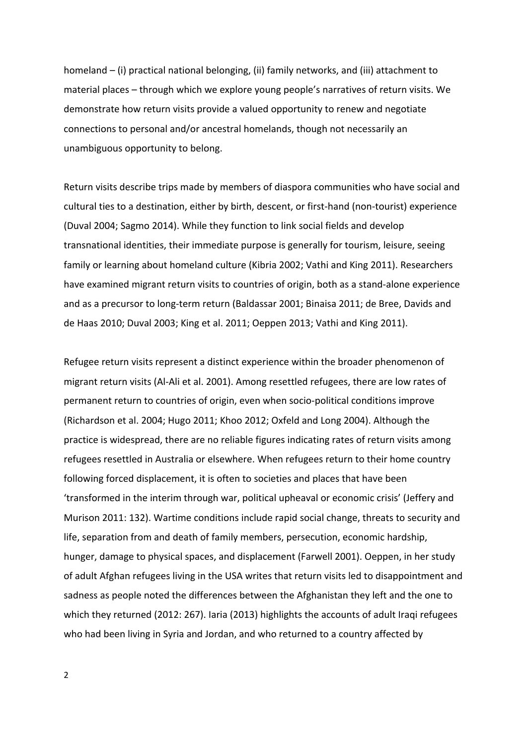homeland  $-$  (i) practical national belonging, (ii) family networks, and (iii) attachment to material places – through which we explore young people's narratives of return visits. We demonstrate how return visits provide a valued opportunity to renew and negotiate connections to personal and/or ancestral homelands, though not necessarily an unambiguous opportunity to belong.

Return visits describe trips made by members of diaspora communities who have social and cultural ties to a destination, either by birth, descent, or first-hand (non-tourist) experience (Duval 2004; Sagmo 2014). While they function to link social fields and develop transnational identities, their immediate purpose is generally for tourism, leisure, seeing family or learning about homeland culture (Kibria 2002; Vathi and King 2011). Researchers have examined migrant return visits to countries of origin, both as a stand-alone experience and as a precursor to long-term return (Baldassar 2001; Binaisa 2011; de Bree, Davids and de Haas 2010; Duval 2003; King et al. 2011; Oeppen 2013; Vathi and King 2011).

Refugee return visits represent a distinct experience within the broader phenomenon of migrant return visits (Al-Ali et al. 2001). Among resettled refugees, there are low rates of permanent return to countries of origin, even when socio-political conditions improve (Richardson et al. 2004; Hugo 2011; Khoo 2012; Oxfeld and Long 2004). Although the practice is widespread, there are no reliable figures indicating rates of return visits among refugees resettled in Australia or elsewhere. When refugees return to their home country following forced displacement, it is often to societies and places that have been 'transformed in the interim through war, political upheaval or economic crisis' (Jeffery and Murison 2011: 132). Wartime conditions include rapid social change, threats to security and life, separation from and death of family members, persecution, economic hardship, hunger, damage to physical spaces, and displacement (Farwell 2001). Oeppen, in her study of adult Afghan refugees living in the USA writes that return visits led to disappointment and sadness as people noted the differences between the Afghanistan they left and the one to which they returned (2012: 267). Iaria (2013) highlights the accounts of adult Iraqi refugees who had been living in Syria and Jordan, and who returned to a country affected by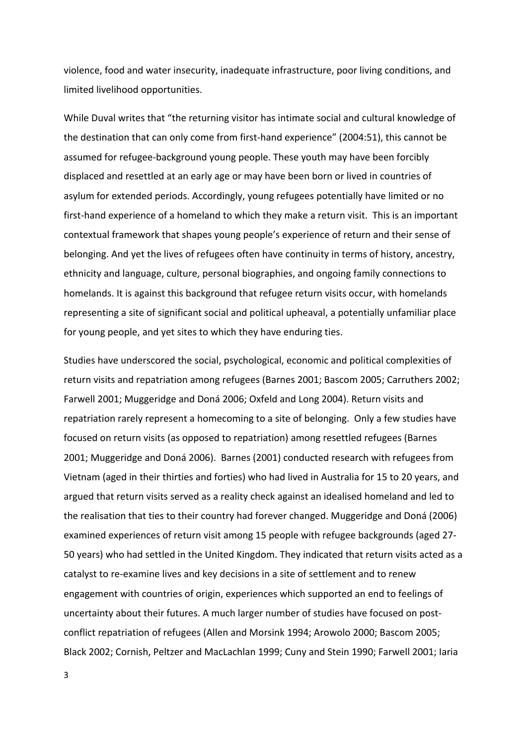violence, food and water insecurity, inadequate infrastructure, poor living conditions, and limited livelihood opportunities.

While Duval writes that "the returning visitor has intimate social and cultural knowledge of the destination that can only come from first-hand experience" (2004:51), this cannot be assumed for refugee-background young people. These youth may have been forcibly displaced and resettled at an early age or may have been born or lived in countries of asylum for extended periods. Accordingly, young refugees potentially have limited or no first-hand experience of a homeland to which they make a return visit. This is an important contextual framework that shapes young people's experience of return and their sense of belonging. And yet the lives of refugees often have continuity in terms of history, ancestry, ethnicity and language, culture, personal biographies, and ongoing family connections to homelands. It is against this background that refugee return visits occur, with homelands representing a site of significant social and political upheaval, a potentially unfamiliar place for young people, and yet sites to which they have enduring ties.

Studies have underscored the social, psychological, economic and political complexities of return visits and repatriation among refugees (Barnes 2001; Bascom 2005; Carruthers 2002; Farwell 2001; Muggeridge and Doná 2006; Oxfeld and Long 2004). Return visits and repatriation rarely represent a homecoming to a site of belonging. Only a few studies have focused on return visits (as opposed to repatriation) among resettled refugees (Barnes 2001; Muggeridge and Doná 2006). Barnes (2001) conducted research with refugees from Vietnam (aged in their thirties and forties) who had lived in Australia for 15 to 20 years, and argued that return visits served as a reality check against an idealised homeland and led to the realisation that ties to their country had forever changed. Muggeridge and Doná (2006) examined experiences of return visit among 15 people with refugee backgrounds (aged 27-50 years) who had settled in the United Kingdom. They indicated that return visits acted as a catalyst to re-examine lives and key decisions in a site of settlement and to renew engagement with countries of origin, experiences which supported an end to feelings of uncertainty about their futures. A much larger number of studies have focused on postconflict repatriation of refugees (Allen and Morsink 1994; Arowolo 2000; Bascom 2005; Black 2002; Cornish, Peltzer and MacLachlan 1999; Cuny and Stein 1990; Farwell 2001; Iaria

3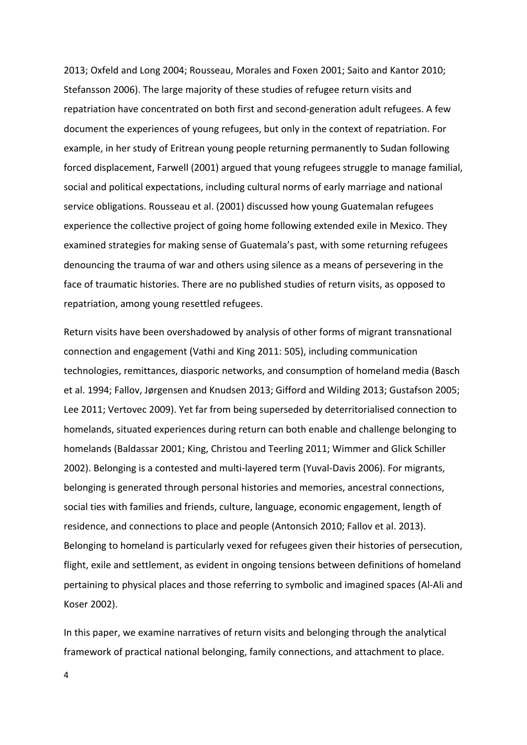2013; Oxfeld and Long 2004; Rousseau, Morales and Foxen 2001; Saito and Kantor 2010; Stefansson 2006). The large majority of these studies of refugee return visits and repatriation have concentrated on both first and second-generation adult refugees. A few document the experiences of young refugees, but only in the context of repatriation. For example, in her study of Eritrean young people returning permanently to Sudan following forced displacement, Farwell (2001) argued that young refugees struggle to manage familial, social and political expectations, including cultural norms of early marriage and national service obligations. Rousseau et al. (2001) discussed how young Guatemalan refugees experience the collective project of going home following extended exile in Mexico. They examined strategies for making sense of Guatemala's past, with some returning refugees denouncing the trauma of war and others using silence as a means of persevering in the face of traumatic histories. There are no published studies of return visits, as opposed to repatriation, among young resettled refugees.

Return visits have been overshadowed by analysis of other forms of migrant transnational connection and engagement (Vathi and King 2011: 505), including communication technologies, remittances, diasporic networks, and consumption of homeland media (Basch et al. 1994; Fallov, Jørgensen and Knudsen 2013; Gifford and Wilding 2013; Gustafson 2005; Lee 2011; Vertovec 2009). Yet far from being superseded by deterritorialised connection to homelands, situated experiences during return can both enable and challenge belonging to homelands (Baldassar 2001; King, Christou and Teerling 2011; Wimmer and Glick Schiller 2002). Belonging is a contested and multi-layered term (Yuval-Davis 2006). For migrants, belonging is generated through personal histories and memories, ancestral connections, social ties with families and friends, culture, language, economic engagement, length of residence, and connections to place and people (Antonsich 2010; Fallov et al. 2013). Belonging to homeland is particularly vexed for refugees given their histories of persecution, flight, exile and settlement, as evident in ongoing tensions between definitions of homeland pertaining to physical places and those referring to symbolic and imagined spaces (Al-Ali and Koser 2002). 

In this paper, we examine narratives of return visits and belonging through the analytical framework of practical national belonging, family connections, and attachment to place.

4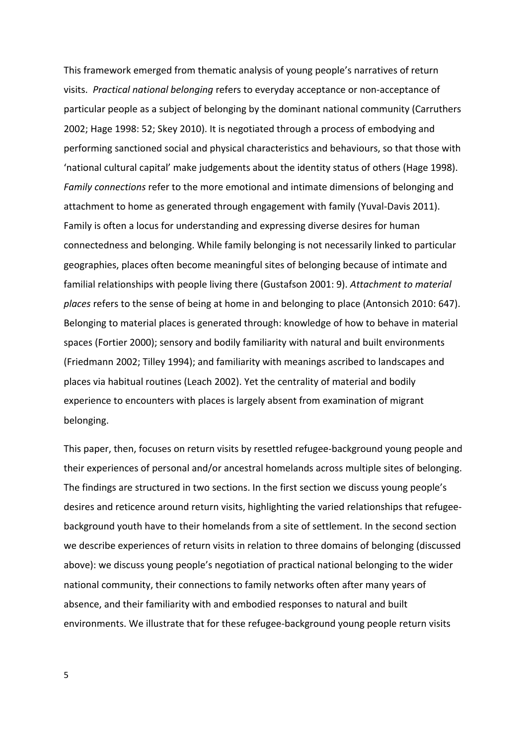This framework emerged from thematic analysis of young people's narratives of return visits. Practical national belonging refers to everyday acceptance or non-acceptance of particular people as a subject of belonging by the dominant national community (Carruthers 2002; Hage 1998: 52; Skey 2010). It is negotiated through a process of embodying and performing sanctioned social and physical characteristics and behaviours, so that those with 'national cultural capital' make judgements about the identity status of others (Hage 1998). *Family connections* refer to the more emotional and intimate dimensions of belonging and attachment to home as generated through engagement with family (Yuval-Davis 2011). Family is often a locus for understanding and expressing diverse desires for human connectedness and belonging. While family belonging is not necessarily linked to particular geographies, places often become meaningful sites of belonging because of intimate and familial relationships with people living there (Gustafson 2001: 9). Attachment to material places refers to the sense of being at home in and belonging to place (Antonsich 2010: 647). Belonging to material places is generated through: knowledge of how to behave in material spaces (Fortier 2000); sensory and bodily familiarity with natural and built environments (Friedmann 2002; Tilley 1994); and familiarity with meanings ascribed to landscapes and places via habitual routines (Leach 2002). Yet the centrality of material and bodily experience to encounters with places is largely absent from examination of migrant belonging. 

This paper, then, focuses on return visits by resettled refugee-background young people and their experiences of personal and/or ancestral homelands across multiple sites of belonging. The findings are structured in two sections. In the first section we discuss young people's desires and reticence around return visits, highlighting the varied relationships that refugeebackground youth have to their homelands from a site of settlement. In the second section we describe experiences of return visits in relation to three domains of belonging (discussed above): we discuss young people's negotiation of practical national belonging to the wider national community, their connections to family networks often after many years of absence, and their familiarity with and embodied responses to natural and built environments. We illustrate that for these refugee-background young people return visits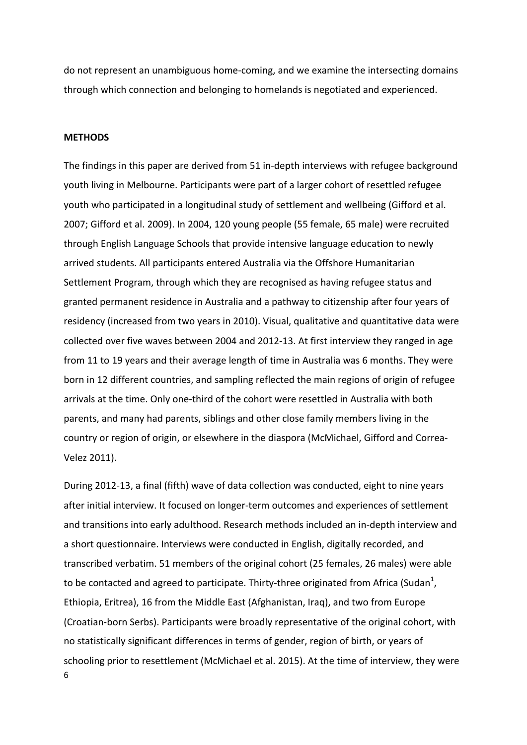do not represent an unambiguous home-coming, and we examine the intersecting domains through which connection and belonging to homelands is negotiated and experienced.

#### **METHODS**

The findings in this paper are derived from 51 in-depth interviews with refugee background youth living in Melbourne. Participants were part of a larger cohort of resettled refugee youth who participated in a longitudinal study of settlement and wellbeing (Gifford et al. 2007; Gifford et al. 2009). In 2004, 120 young people (55 female, 65 male) were recruited through English Language Schools that provide intensive language education to newly arrived students. All participants entered Australia via the Offshore Humanitarian Settlement Program, through which they are recognised as having refugee status and granted permanent residence in Australia and a pathway to citizenship after four years of residency (increased from two years in 2010). Visual, qualitative and quantitative data were collected over five waves between 2004 and 2012-13. At first interview they ranged in age from 11 to 19 years and their average length of time in Australia was 6 months. They were born in 12 different countries, and sampling reflected the main regions of origin of refugee arrivals at the time. Only one-third of the cohort were resettled in Australia with both parents, and many had parents, siblings and other close family members living in the country or region of origin, or elsewhere in the diaspora (McMichael, Gifford and Correa-Velez 2011). 

6 During 2012-13, a final (fifth) wave of data collection was conducted, eight to nine years after initial interview. It focused on longer-term outcomes and experiences of settlement and transitions into early adulthood. Research methods included an in-depth interview and a short questionnaire. Interviews were conducted in English, digitally recorded, and transcribed verbatim. 51 members of the original cohort (25 females, 26 males) were able to be contacted and agreed to participate. Thirty-three originated from Africa (Sudan<sup>1</sup>, Ethiopia, Eritrea), 16 from the Middle East (Afghanistan, Iraq), and two from Europe (Croatian-born Serbs). Participants were broadly representative of the original cohort, with no statistically significant differences in terms of gender, region of birth, or years of schooling prior to resettlement (McMichael et al. 2015). At the time of interview, they were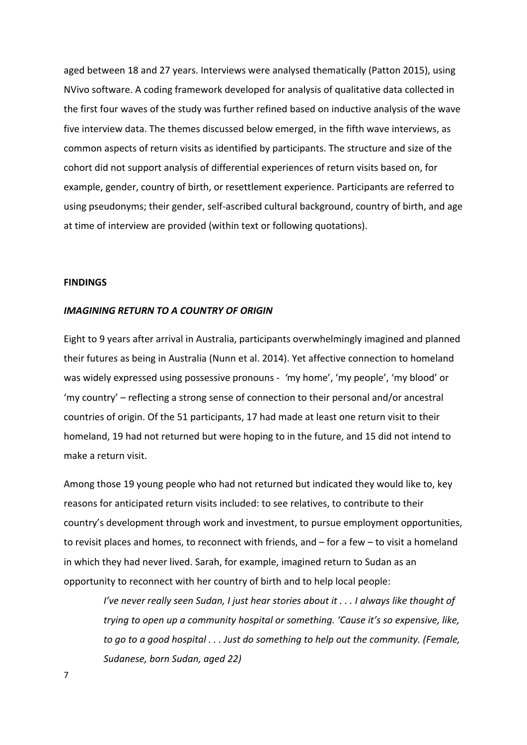aged between 18 and 27 years. Interviews were analysed thematically (Patton 2015), using NVivo software. A coding framework developed for analysis of qualitative data collected in the first four waves of the study was further refined based on inductive analysis of the wave five interview data. The themes discussed below emerged, in the fifth wave interviews, as common aspects of return visits as identified by participants. The structure and size of the cohort did not support analysis of differential experiences of return visits based on, for example, gender, country of birth, or resettlement experience. Participants are referred to using pseudonyms; their gender, self-ascribed cultural background, country of birth, and age at time of interview are provided (within text or following quotations).

#### **FINDINGS**

#### **IMAGINING RETURN TO A COUNTRY OF ORIGIN**

Eight to 9 years after arrival in Australia, participants overwhelmingly imagined and planned their futures as being in Australia (Nunn et al. 2014). Yet affective connection to homeland was widely expressed using possessive pronouns - 'my home', 'my people', 'my blood' or 'my country' – reflecting a strong sense of connection to their personal and/or ancestral countries of origin. Of the 51 participants, 17 had made at least one return visit to their homeland, 19 had not returned but were hoping to in the future, and 15 did not intend to make a return visit.

Among those 19 young people who had not returned but indicated they would like to, key reasons for anticipated return visits included: to see relatives, to contribute to their country's development through work and investment, to pursue employment opportunities, to revisit places and homes, to reconnect with friends, and  $-$  for a few  $-$  to visit a homeland in which they had never lived. Sarah, for example, imagined return to Sudan as an opportunity to reconnect with her country of birth and to help local people:

*I've never really seen Sudan, I just hear stories about it . . . I always like thought of trying to open up a community hospital or something. 'Cause it's so expensive, like, to go to a good hospital ... Just do something to help out the community. (Female, Sudanese, born Sudan, aged 22)*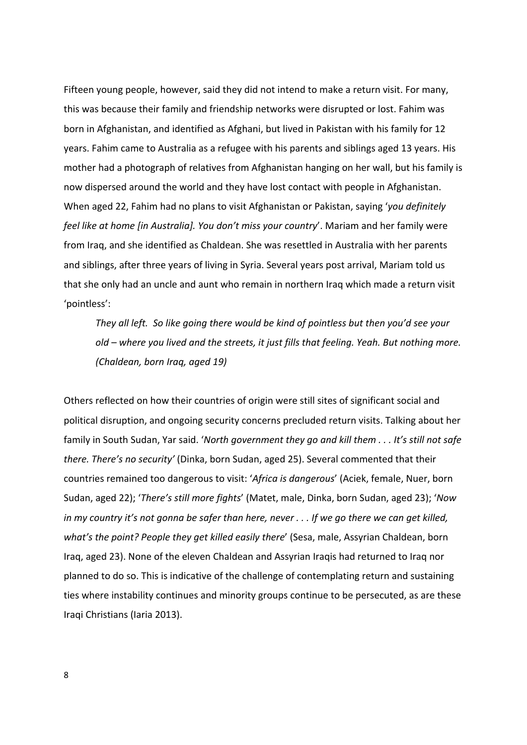Fifteen young people, however, said they did not intend to make a return visit. For many, this was because their family and friendship networks were disrupted or lost. Fahim was born in Afghanistan, and identified as Afghani, but lived in Pakistan with his family for 12 years. Fahim came to Australia as a refugee with his parents and siblings aged 13 years. His mother had a photograph of relatives from Afghanistan hanging on her wall, but his family is now dispersed around the world and they have lost contact with people in Afghanistan. When aged 22, Fahim had no plans to visit Afghanistan or Pakistan, saying 'you definitely *feel like at home [in Australia]. You don't miss your country'*. Mariam and her family were from Iraq, and she identified as Chaldean. She was resettled in Australia with her parents and siblings, after three years of living in Syria. Several years post arrival, Mariam told us that she only had an uncle and aunt who remain in northern Iraq which made a return visit 'pointless':

They all left. So like going there would be kind of pointless but then you'd see your old – where you lived and the streets, it just fills that feeling. Yeah. But nothing more. *(Chaldean, born Iraq, aged 19)*

Others reflected on how their countries of origin were still sites of significant social and political disruption, and ongoing security concerns precluded return visits. Talking about her family in South Sudan, Yar said. '*North government they go and kill them* . . . It's still not safe *there. There's no security'* (Dinka, born Sudan, aged 25). Several commented that their countries remained too dangerous to visit: 'Africa is dangerous' (Aciek, female, Nuer, born Sudan, aged 22); 'There's still more fights' (Matet, male, Dinka, born Sudan, aged 23); 'Now *in* my country it's not gonna be safer than here, never . . . If we go there we can get killed, *what's* the point? People they get killed easily there' (Sesa, male, Assyrian Chaldean, born Iraq, aged 23). None of the eleven Chaldean and Assyrian Iraqis had returned to Iraq nor planned to do so. This is indicative of the challenge of contemplating return and sustaining ties where instability continues and minority groups continue to be persecuted, as are these Iraqi Christians (Iaria 2013).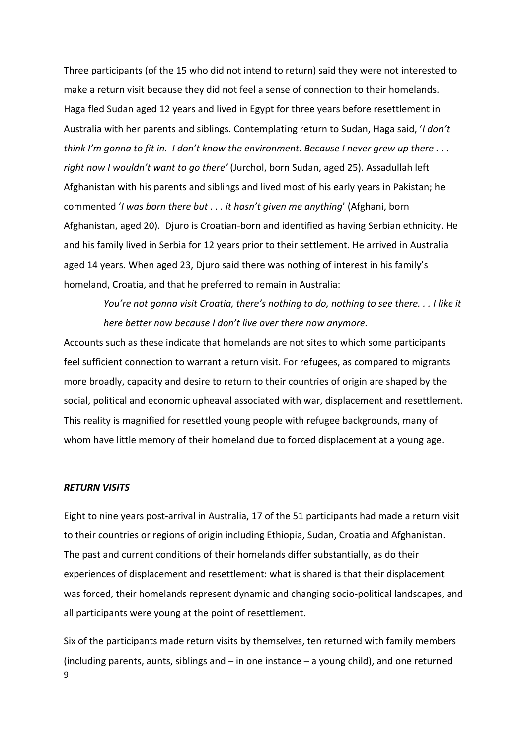Three participants (of the 15 who did not intend to return) said they were not interested to make a return visit because they did not feel a sense of connection to their homelands. Haga fled Sudan aged 12 years and lived in Egypt for three years before resettlement in Australia with her parents and siblings. Contemplating return to Sudan, Haga said, '*I don't think* I'm gonna to fit in. I don't know the environment. Because I never grew up there ... right now I wouldn't want to go there' (Jurchol, born Sudan, aged 25). Assadullah left Afghanistan with his parents and siblings and lived most of his early years in Pakistan; he commented '*I* was born there but . . . it hasn't given me anything' (Afghani, born Afghanistan, aged 20). Djuro is Croatian-born and identified as having Serbian ethnicity. He and his family lived in Serbia for 12 years prior to their settlement. He arrived in Australia aged 14 years. When aged 23, Djuro said there was nothing of interest in his family's homeland, Croatia, and that he preferred to remain in Australia:

*You're not gonna visit Croatia, there's nothing to do, nothing to see there.* . . I like it *here better now because I don't live over there now anymore.* 

Accounts such as these indicate that homelands are not sites to which some participants feel sufficient connection to warrant a return visit. For refugees, as compared to migrants more broadly, capacity and desire to return to their countries of origin are shaped by the social, political and economic upheaval associated with war, displacement and resettlement. This reality is magnified for resettled young people with refugee backgrounds, many of whom have little memory of their homeland due to forced displacement at a young age.

#### *RETURN VISITS*

Eight to nine years post-arrival in Australia, 17 of the 51 participants had made a return visit to their countries or regions of origin including Ethiopia, Sudan, Croatia and Afghanistan. The past and current conditions of their homelands differ substantially, as do their experiences of displacement and resettlement: what is shared is that their displacement was forced, their homelands represent dynamic and changing socio-political landscapes, and all participants were young at the point of resettlement.

9 Six of the participants made return visits by themselves, ten returned with family members (including parents, aunts, siblings and  $-$  in one instance  $-$  a young child), and one returned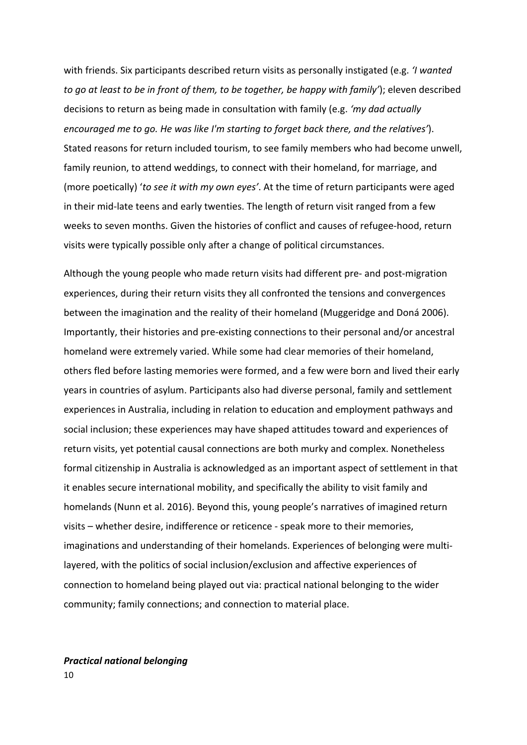with friends. Six participants described return visits as personally instigated (e.g. *'I wanted to go at least to be in front of them, to be together, be happy with family'*); eleven described decisions to return as being made in consultation with family (e.g. 'my dad actually *encouraged me to go. He was like I'm starting to forget back there, and the relatives'*). Stated reasons for return included tourism, to see family members who had become unwell, family reunion, to attend weddings, to connect with their homeland, for marriage, and (more poetically) 'to see it with my own eyes'. At the time of return participants were aged in their mid-late teens and early twenties. The length of return visit ranged from a few weeks to seven months. Given the histories of conflict and causes of refugee-hood, return visits were typically possible only after a change of political circumstances.

Although the young people who made return visits had different pre- and post-migration experiences, during their return visits they all confronted the tensions and convergences between the imagination and the reality of their homeland (Muggeridge and Doná 2006). Importantly, their histories and pre-existing connections to their personal and/or ancestral homeland were extremely varied. While some had clear memories of their homeland, others fled before lasting memories were formed, and a few were born and lived their early years in countries of asylum. Participants also had diverse personal, family and settlement experiences in Australia, including in relation to education and employment pathways and social inclusion; these experiences may have shaped attitudes toward and experiences of return visits, yet potential causal connections are both murky and complex. Nonetheless formal citizenship in Australia is acknowledged as an important aspect of settlement in that it enables secure international mobility, and specifically the ability to visit family and homelands (Nunn et al. 2016). Beyond this, young people's narratives of imagined return visits – whether desire, indifference or reticence - speak more to their memories, imaginations and understanding of their homelands. Experiences of belonging were multilayered, with the politics of social inclusion/exclusion and affective experiences of connection to homeland being played out via: practical national belonging to the wider community; family connections; and connection to material place.

# *Practical national belonging*

10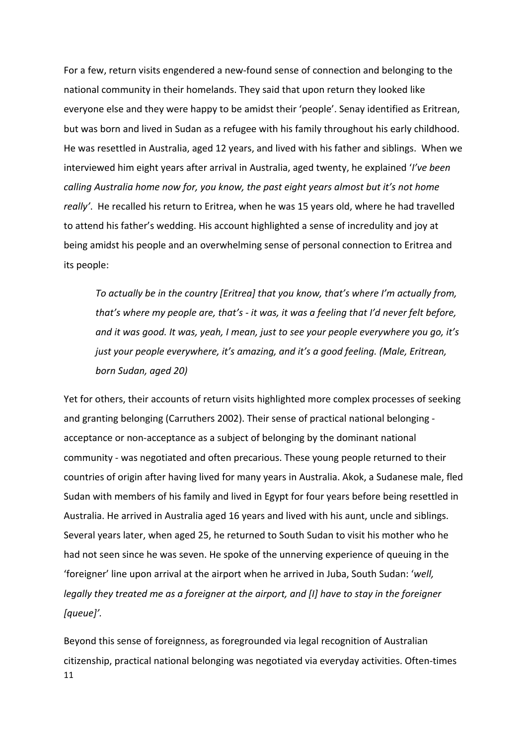For a few, return visits engendered a new-found sense of connection and belonging to the national community in their homelands. They said that upon return they looked like everyone else and they were happy to be amidst their 'people'. Senay identified as Eritrean, but was born and lived in Sudan as a refugee with his family throughout his early childhood. He was resettled in Australia, aged 12 years, and lived with his father and siblings. When we interviewed him eight years after arrival in Australia, aged twenty, he explained 'I've been *calling Australia home now for, you know, the past eight years almost but it's not home* really'. He recalled his return to Eritrea, when he was 15 years old, where he had travelled to attend his father's wedding. His account highlighted a sense of incredulity and joy at being amidst his people and an overwhelming sense of personal connection to Eritrea and its people:

*To* actually be in the country [Eritrea] that you know, that's where I'm actually from, *that's* where my people are, that's - it was, it was a feeling that I'd never felt before, *and* it was good. It was, yeah, I mean, just to see your people everywhere you go, it's *just your people everywhere, it's amazing, and it's a good feeling. (Male, Eritrean, born Sudan, aged 20)*

Yet for others, their accounts of return visits highlighted more complex processes of seeking and granting belonging (Carruthers 2002). Their sense of practical national belonging acceptance or non-acceptance as a subject of belonging by the dominant national community - was negotiated and often precarious. These young people returned to their countries of origin after having lived for many years in Australia. Akok, a Sudanese male, fled Sudan with members of his family and lived in Egypt for four years before being resettled in Australia. He arrived in Australia aged 16 years and lived with his aunt, uncle and siblings. Several years later, when aged 25, he returned to South Sudan to visit his mother who he had not seen since he was seven. He spoke of the unnerving experience of queuing in the 'foreigner' line upon arrival at the airport when he arrived in Juba, South Sudan: '*well, legally* they treated me as a foreigner at the airport, and [I] have to stay in the foreigner *[queue]'.*

11 Beyond this sense of foreignness, as foregrounded via legal recognition of Australian citizenship, practical national belonging was negotiated via everyday activities. Often-times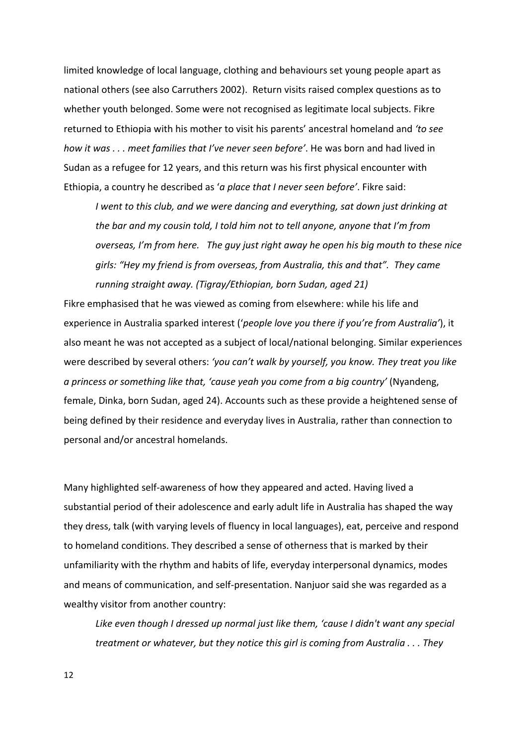limited knowledge of local language, clothing and behaviours set young people apart as national others (see also Carruthers 2002). Return visits raised complex questions as to whether youth belonged. Some were not recognised as legitimate local subjects. Fikre returned to Ethiopia with his mother to visit his parents' ancestral homeland and 'to see *how it was ...* meet families that I've never seen before'. He was born and had lived in Sudan as a refugee for 12 years, and this return was his first physical encounter with Ethiopia, a country he described as 'a place that I never seen before'. Fikre said:

*I* went to this club, and we were dancing and everything, sat down just drinking at *the bar and my cousin told, I told him not to tell anyone, anyone that I'm from overseas, I'm from here.* The *guy just right away he open his big mouth to these nice girls:* "Hey my friend is from overseas, from Australia, this and that". They came running straight away. (Tigray/Ethiopian, born Sudan, aged 21)

Fikre emphasised that he was viewed as coming from elsewhere: while his life and experience in Australia sparked interest ('people love you there if you're from Australia'), it also meant he was not accepted as a subject of local/national belonging. Similar experiences were described by several others: 'you can't walk by yourself, you know. They treat you like *a* princess or something like that, 'cause yeah you come from a big country' (Nyandeng, female, Dinka, born Sudan, aged 24). Accounts such as these provide a heightened sense of being defined by their residence and everyday lives in Australia, rather than connection to personal and/or ancestral homelands.

Many highlighted self-awareness of how they appeared and acted. Having lived a substantial period of their adolescence and early adult life in Australia has shaped the way they dress, talk (with varying levels of fluency in local languages), eat, perceive and respond to homeland conditions. They described a sense of otherness that is marked by their unfamiliarity with the rhythm and habits of life, everyday interpersonal dynamics, modes and means of communication, and self-presentation. Nanjuor said she was regarded as a wealthy visitor from another country:

Like even though I dressed up normal just like them, 'cause I didn't want any special *treatment or whatever, but they notice this girl is coming from Australia . . . They* 

12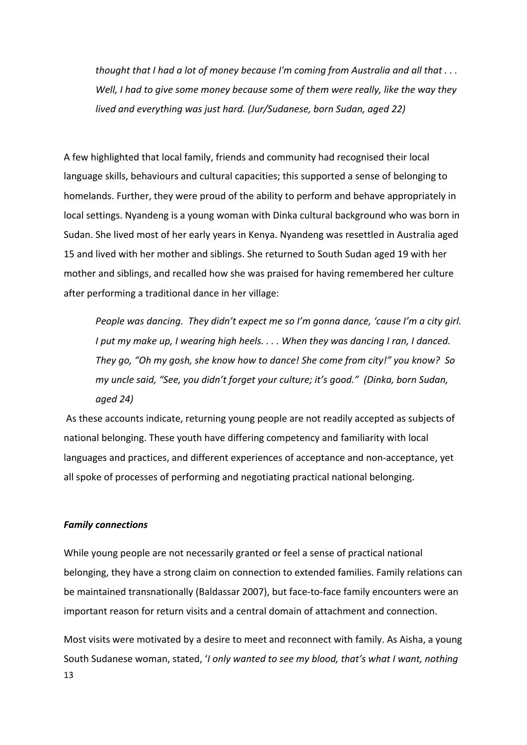*thought that I had a lot of money because I'm coming from Australia and all that ...* Well, I had to give some money because some of them were really, like the way they *lived and everything was just hard.* (Jur/Sudanese, born Sudan, aged 22)

A few highlighted that local family, friends and community had recognised their local language skills, behaviours and cultural capacities; this supported a sense of belonging to homelands. Further, they were proud of the ability to perform and behave appropriately in local settings. Nyandeng is a young woman with Dinka cultural background who was born in Sudan. She lived most of her early years in Kenya. Nyandeng was resettled in Australia aged 15 and lived with her mother and siblings. She returned to South Sudan aged 19 with her mother and siblings, and recalled how she was praised for having remembered her culture after performing a traditional dance in her village:

*People* was dancing. They didn't expect me so I'm gonna dance, 'cause I'm a city girl. *I* put my make up, I wearing high heels. . . . When they was dancing I ran, I danced. *They go, "Oh my gosh, she know how to dance! She come from city!" you know? So my* uncle said, "See, you didn't forget your culture; it's good." (Dinka, born Sudan, *aged 24)*

As these accounts indicate, returning young people are not readily accepted as subjects of national belonging. These youth have differing competency and familiarity with local languages and practices, and different experiences of acceptance and non-acceptance, yet all spoke of processes of performing and negotiating practical national belonging.

#### *Family connections*

While young people are not necessarily granted or feel a sense of practical national belonging, they have a strong claim on connection to extended families. Family relations can be maintained transnationally (Baldassar 2007), but face-to-face family encounters were an important reason for return visits and a central domain of attachment and connection.

13 Most visits were motivated by a desire to meet and reconnect with family. As Aisha, a young South Sudanese woman, stated, '*I* only wanted to see my blood, that's what I want, nothing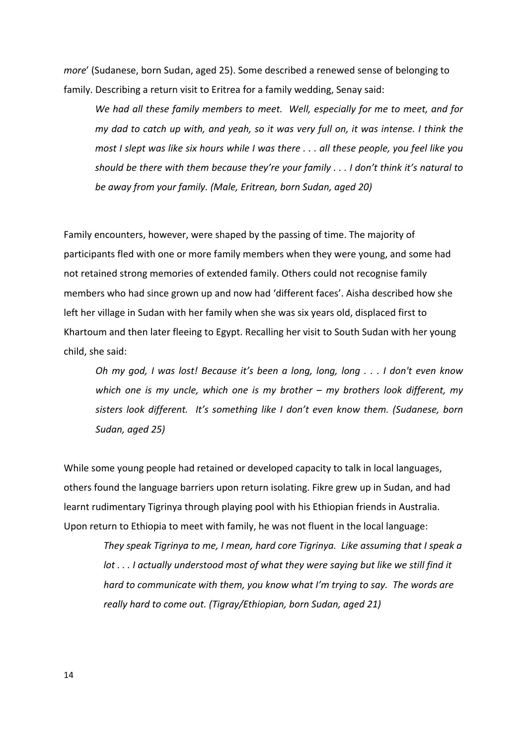*more'* (Sudanese, born Sudan, aged 25). Some described a renewed sense of belonging to family. Describing a return visit to Eritrea for a family wedding, Senay said:

We had all these family members to meet. Well, especially for me to meet, and for *my* dad to catch up with, and yeah, so it was very full on, it was intense. I think the *most I slept was like six hours while I was there ... all these people, you feel like you* should be there with them because they're your family . . . I don't think it's natural to *be away from your family. (Male, Eritrean, born Sudan, aged 20)* 

Family encounters, however, were shaped by the passing of time. The majority of participants fled with one or more family members when they were young, and some had not retained strong memories of extended family. Others could not recognise family members who had since grown up and now had 'different faces'. Aisha described how she left her village in Sudan with her family when she was six years old, displaced first to Khartoum and then later fleeing to Egypt. Recalling her visit to South Sudan with her young child, she said:

*Oh* my god, I was lost! Because it's been a long, long, long . . . I don't even know *which* one is my uncle, which one is my brother – my brothers look different, my sisters look different. It's something like I don't even know them. (Sudanese, born *Sudan, aged 25)*

While some young people had retained or developed capacity to talk in local languages, others found the language barriers upon return isolating. Fikre grew up in Sudan, and had learnt rudimentary Tigrinya through playing pool with his Ethiopian friends in Australia. Upon return to Ethiopia to meet with family, he was not fluent in the local language:

They speak Tigrinya to me, I mean, hard core Tigrinya. Like assuming that I speak a *lot ...* I actually understood most of what they were saying but like we still find it *hard* to communicate with them, you know what I'm trying to say. The words are really hard to come out. (Tigray/Ethiopian, born Sudan, aged 21)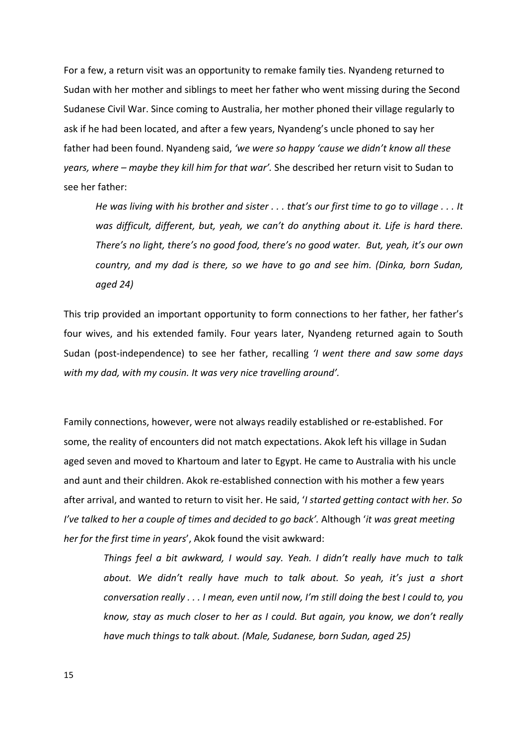For a few, a return visit was an opportunity to remake family ties. Nyandeng returned to Sudan with her mother and siblings to meet her father who went missing during the Second Sudanese Civil War. Since coming to Australia, her mother phoned their village regularly to ask if he had been located, and after a few years, Nyandeng's uncle phoned to say her father had been found. Nyandeng said, 'we were so happy 'cause we didn't know all these *years, where – maybe they kill him for that war'.* She described her return visit to Sudan to see her father:

*He* was living with his brother and sister . . . that's our first time to go to village . . . It was difficult, different, but, yeah, we can't do anything about it. Life is hard there. *There's no light, there's no good food, there's no good water. But, yeah, it's our own country, and my dad is there, so we have to go and see him. (Dinka, born Sudan, aged 24)*

This trip provided an important opportunity to form connections to her father, her father's four wives, and his extended family. Four years later, Nyandeng returned again to South Sudan (post-independence) to see her father, recalling *'I* went there and saw some days with my dad, with my cousin. It was very nice travelling around'.

Family connections, however, were not always readily established or re-established. For some, the reality of encounters did not match expectations. Akok left his village in Sudan aged seven and moved to Khartoum and later to Egypt. He came to Australia with his uncle and aunt and their children. Akok re-established connection with his mother a few years after arrival, and wanted to return to visit her. He said, '*I started getting contact with her. So I've talked to her a couple of times and decided to go back'.* Although '*it* was great meeting *her for the first time in years'*, Akok found the visit awkward:

*Things feel a bit awkward, I would say. Yeah. I didn't really have much to talk* about. We didn't really have much to talk about. So yeah, it's just a short *conversation really ... I mean, even until now, I'm still doing the best I could to, you know,* stay as much closer to her as I could. But again, you know, we don't really have much things to talk about. (Male, Sudanese, born Sudan, aged 25)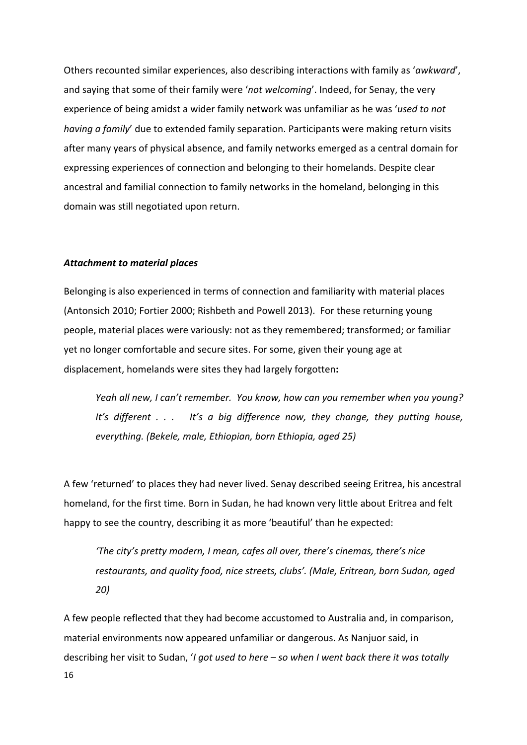Others recounted similar experiences, also describing interactions with family as 'awkward', and saying that some of their family were 'not welcoming'. Indeed, for Senay, the very experience of being amidst a wider family network was unfamiliar as he was 'used to not *having a family'* due to extended family separation. Participants were making return visits after many years of physical absence, and family networks emerged as a central domain for expressing experiences of connection and belonging to their homelands. Despite clear ancestral and familial connection to family networks in the homeland, belonging in this domain was still negotiated upon return.

#### *Attachment to material places*

Belonging is also experienced in terms of connection and familiarity with material places (Antonsich 2010; Fortier 2000; Rishbeth and Powell 2013). For these returning young people, material places were variously: not as they remembered; transformed; or familiar yet no longer comfortable and secure sites. For some, given their young age at displacement, homelands were sites they had largely forgotten:

Yeah all new, I can't remember. You know, how can you remember when you young? It's different *.* . . It's a big difference now, they change, they putting house, *everything. (Bekele, male, Ethiopian, born Ethiopia, aged 25)*

A few 'returned' to places they had never lived. Senay described seeing Eritrea, his ancestral homeland, for the first time. Born in Sudan, he had known very little about Eritrea and felt happy to see the country, describing it as more 'beautiful' than he expected:

*'The city's pretty modern, I mean, cafes all over, there's cinemas, there's nice* restaurants, and quality food, nice streets, clubs'. (Male, Eritrean, born Sudan, aged *20)*

16 A few people reflected that they had become accustomed to Australia and, in comparison, material environments now appeared unfamiliar or dangerous. As Nanjuor said, in describing her visit to Sudan, '*I got used to here – so when I went back there it was totally*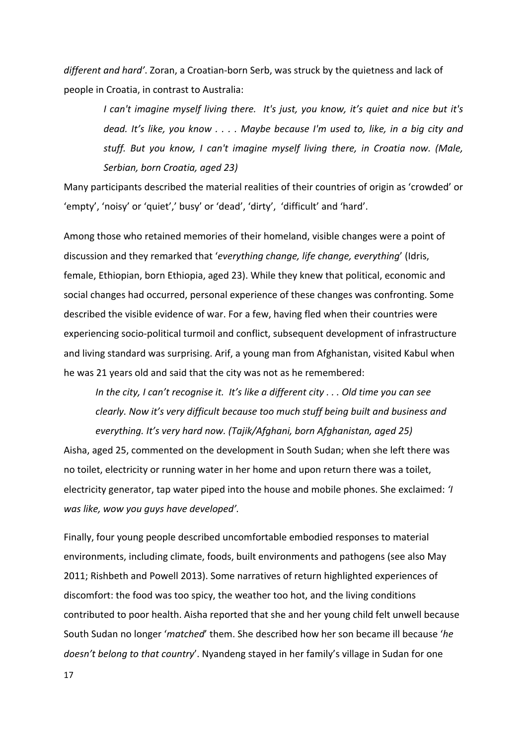different and hard'. Zoran, a Croatian-born Serb, was struck by the quietness and lack of people in Croatia, in contrast to Australia:

> *I* can't imagine myself living there. It's just, you know, it's quiet and nice but it's *dead.* It's like, you know .... Maybe because I'm used to, like, in a big city and stuff. But you know, I can't imagine myself living there, in Croatia now. (Male, *Serbian, born Croatia, aged 23)*

Many participants described the material realities of their countries of origin as 'crowded' or 'empty', 'noisy' or 'quiet',' busy' or 'dead', 'dirty', 'difficult' and 'hard'.

Among those who retained memories of their homeland, visible changes were a point of discussion and they remarked that 'everything change, life change, everything' (Idris, female, Ethiopian, born Ethiopia, aged 23). While they knew that political, economic and social changes had occurred, personal experience of these changes was confronting. Some described the visible evidence of war. For a few, having fled when their countries were experiencing socio-political turmoil and conflict, subsequent development of infrastructure and living standard was surprising. Arif, a young man from Afghanistan, visited Kabul when he was 21 years old and said that the city was not as he remembered:

*In the city, I can't recognise it. It's like a different city ... Old time you can see clearly.* Now it's very difficult because too much stuff being built and business and *everything. It's very hard now.* (Tajik/Afghani, born Afghanistan, aged 25)

Aisha, aged 25, commented on the development in South Sudan; when she left there was no toilet, electricity or running water in her home and upon return there was a toilet. electricity generator, tap water piped into the house and mobile phones. She exclaimed: '*I was like, wow you guys have developed'.* 

Finally, four young people described uncomfortable embodied responses to material environments, including climate, foods, built environments and pathogens (see also May 2011; Rishbeth and Powell 2013). Some narratives of return highlighted experiences of discomfort: the food was too spicy, the weather too hot, and the living conditions contributed to poor health. Aisha reported that she and her young child felt unwell because South Sudan no longer '*matched*' them. She described how her son became ill because 'he *doesn't belong to that country'*. Nyandeng stayed in her family's village in Sudan for one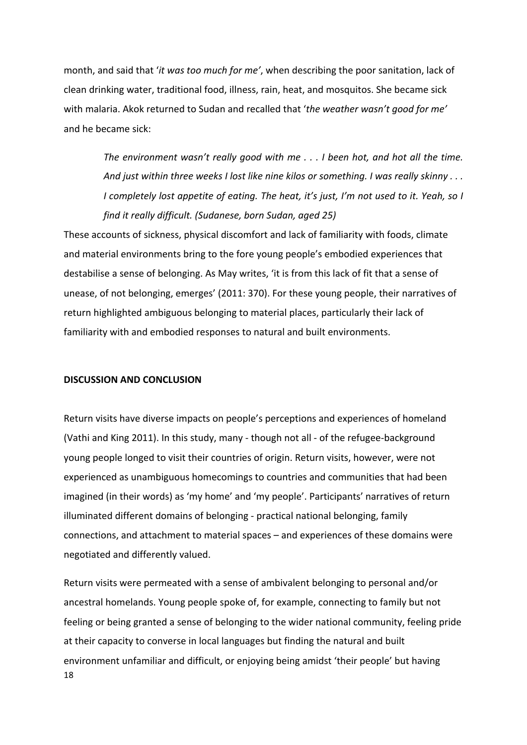month, and said that '*it was too much for me'*, when describing the poor sanitation, lack of clean drinking water, traditional food, illness, rain, heat, and mosquitos. She became sick with malaria. Akok returned to Sudan and recalled that 'the weather wasn't good for me' and he became sick:

*The environment wasn't really good with me ... I been hot, and hot all the time.* And just within three weeks I lost like nine kilos or something. I was really skinny . . . *I* completely lost appetite of eating. The heat, it's just, I'm not used to it. Yeah, so I *find it really difficult. (Sudanese, born Sudan, aged 25)* 

These accounts of sickness, physical discomfort and lack of familiarity with foods, climate and material environments bring to the fore young people's embodied experiences that destabilise a sense of belonging. As May writes, 'it is from this lack of fit that a sense of unease, of not belonging, emerges' (2011: 370). For these young people, their narratives of return highlighted ambiguous belonging to material places, particularly their lack of familiarity with and embodied responses to natural and built environments.

#### **DISCUSSION AND CONCLUSION**

Return visits have diverse impacts on people's perceptions and experiences of homeland (Vathi and King 2011). In this study, many - though not all - of the refugee-background young people longed to visit their countries of origin. Return visits, however, were not experienced as unambiguous homecomings to countries and communities that had been imagined (in their words) as 'my home' and 'my people'. Participants' narratives of return illuminated different domains of belonging - practical national belonging, family connections, and attachment to material spaces – and experiences of these domains were negotiated and differently valued.

18 Return visits were permeated with a sense of ambivalent belonging to personal and/or ancestral homelands. Young people spoke of, for example, connecting to family but not feeling or being granted a sense of belonging to the wider national community, feeling pride at their capacity to converse in local languages but finding the natural and built environment unfamiliar and difficult, or enjoying being amidst 'their people' but having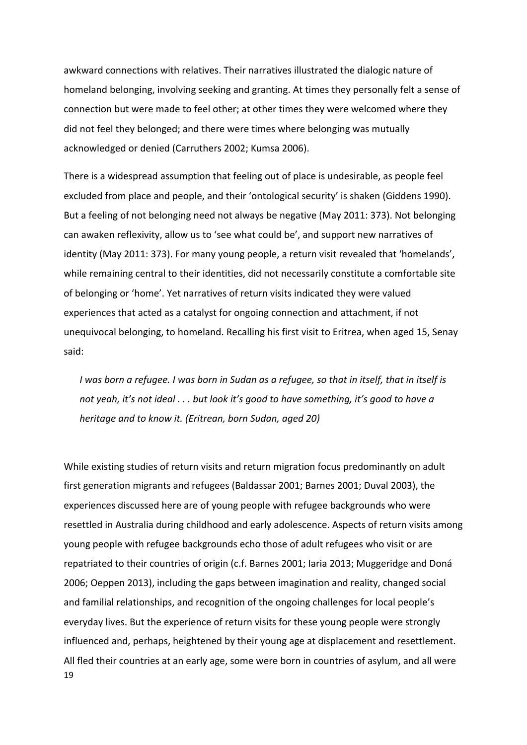awkward connections with relatives. Their narratives illustrated the dialogic nature of homeland belonging, involving seeking and granting. At times they personally felt a sense of connection but were made to feel other; at other times they were welcomed where they did not feel they belonged; and there were times where belonging was mutually acknowledged or denied (Carruthers 2002; Kumsa 2006).

There is a widespread assumption that feeling out of place is undesirable, as people feel excluded from place and people, and their 'ontological security' is shaken (Giddens 1990). But a feeling of not belonging need not always be negative (May 2011: 373). Not belonging can awaken reflexivity, allow us to 'see what could be', and support new narratives of identity (May 2011: 373). For many young people, a return visit revealed that 'homelands', while remaining central to their identities, did not necessarily constitute a comfortable site of belonging or 'home'. Yet narratives of return visits indicated they were valued experiences that acted as a catalyst for ongoing connection and attachment, if not unequivocal belonging, to homeland. Recalling his first visit to Eritrea, when aged 15, Senay said:

*I* was born a refugee. I was born in Sudan as a refugee, so that in itself, that in itself is not yeah, it's not ideal . . . but look it's good to have something, it's good to have a *heritage and to know it. (Eritrean, born Sudan, aged 20)* 

19 While existing studies of return visits and return migration focus predominantly on adult first generation migrants and refugees (Baldassar 2001; Barnes 2001; Duval 2003), the experiences discussed here are of young people with refugee backgrounds who were resettled in Australia during childhood and early adolescence. Aspects of return visits among young people with refugee backgrounds echo those of adult refugees who visit or are repatriated to their countries of origin (c.f. Barnes 2001; Iaria 2013; Muggeridge and Doná 2006; Oeppen 2013), including the gaps between imagination and reality, changed social and familial relationships, and recognition of the ongoing challenges for local people's everyday lives. But the experience of return visits for these young people were strongly influenced and, perhaps, heightened by their young age at displacement and resettlement. All fled their countries at an early age, some were born in countries of asylum, and all were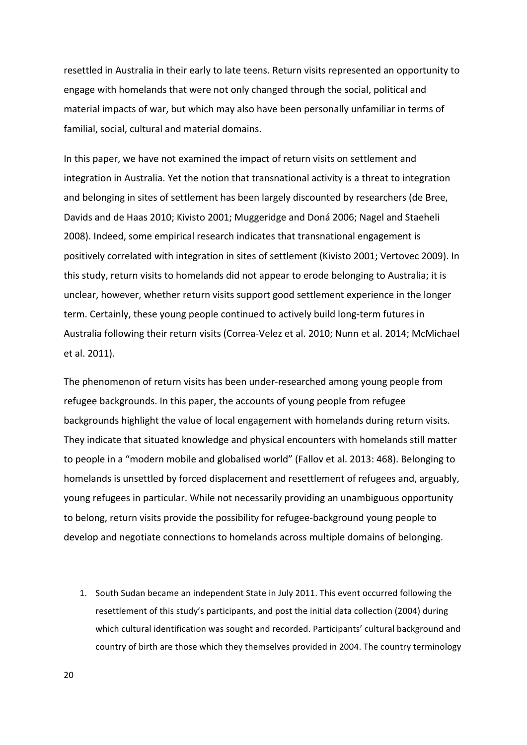resettled in Australia in their early to late teens. Return visits represented an opportunity to engage with homelands that were not only changed through the social, political and material impacts of war, but which may also have been personally unfamiliar in terms of familial, social, cultural and material domains.

In this paper, we have not examined the impact of return visits on settlement and integration in Australia. Yet the notion that transnational activity is a threat to integration and belonging in sites of settlement has been largely discounted by researchers (de Bree, Davids and de Haas 2010; Kivisto 2001; Muggeridge and Doná 2006; Nagel and Staeheli 2008). Indeed, some empirical research indicates that transnational engagement is positively correlated with integration in sites of settlement (Kivisto 2001; Vertovec 2009). In this study, return visits to homelands did not appear to erode belonging to Australia; it is unclear, however, whether return visits support good settlement experience in the longer term. Certainly, these young people continued to actively build long-term futures in Australia following their return visits (Correa-Velez et al. 2010; Nunn et al. 2014; McMichael et al. 2011).

The phenomenon of return visits has been under-researched among young people from refugee backgrounds. In this paper, the accounts of young people from refugee backgrounds highlight the value of local engagement with homelands during return visits. They indicate that situated knowledge and physical encounters with homelands still matter to people in a "modern mobile and globalised world" (Fallov et al. 2013: 468). Belonging to homelands is unsettled by forced displacement and resettlement of refugees and, arguably, young refugees in particular. While not necessarily providing an unambiguous opportunity to belong, return visits provide the possibility for refugee-background young people to develop and negotiate connections to homelands across multiple domains of belonging.

1. South Sudan became an independent State in July 2011. This event occurred following the resettlement of this study's participants, and post the initial data collection (2004) during which cultural identification was sought and recorded. Participants' cultural background and country of birth are those which they themselves provided in 2004. The country terminology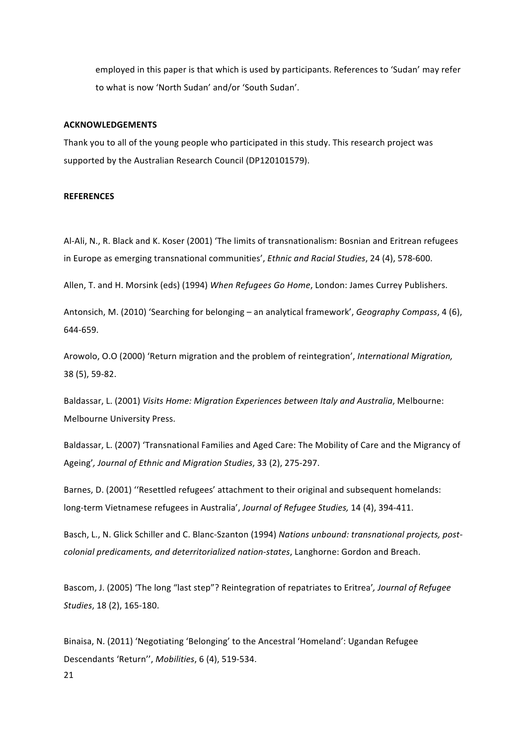employed in this paper is that which is used by participants. References to 'Sudan' may refer to what is now 'North Sudan' and/or 'South Sudan'.

#### **ACKNOWLEDGEMENTS**

Thank you to all of the young people who participated in this study. This research project was supported by the Australian Research Council (DP120101579).

#### **REFERENCES**

Al-Ali, N., R. Black and K. Koser (2001) 'The limits of transnationalism: Bosnian and Eritrean refugees in Europe as emerging transnational communities', *Ethnic and Racial Studies*, 24 (4), 578-600.

Allen, T. and H. Morsink (eds) (1994) When Refugees Go Home, London: James Currey Publishers.

Antonsich, M. (2010) 'Searching for belonging – an analytical framework', *Geography Compass*, 4 (6), 644-659.

Arowolo, O.O (2000) 'Return migration and the problem of reintegration', *International Migration*, 38 (5), 59-82.

Baldassar, L. (2001) Visits Home: Migration Experiences between Italy and Australia, Melbourne: Melbourne University Press.

Baldassar, L. (2007) 'Transnational Families and Aged Care: The Mobility of Care and the Migrancy of Ageing', Journal of Ethnic and Migration Studies, 33 (2), 275-297.

Barnes, D. (2001) "Resettled refugees' attachment to their original and subsequent homelands: long-term Vietnamese refugees in Australia', *Journal of Refugee Studies*, 14 (4), 394-411.

Basch, L., N. Glick Schiller and C. Blanc-Szanton (1994) Nations unbound: transnational projects, post*colonial predicaments, and deterritorialized nation-states, Langhorne: Gordon and Breach.* 

Bascom, J. (2005) 'The long "last step"? Reintegration of repatriates to Eritrea', Journal of Refugee *Studies*, 18 (2), 165-180. 

Binaisa, N. (2011) 'Negotiating 'Belonging' to the Ancestral 'Homeland': Ugandan Refugee Descendants 'Return'', *Mobilities*, 6 (4), 519-534.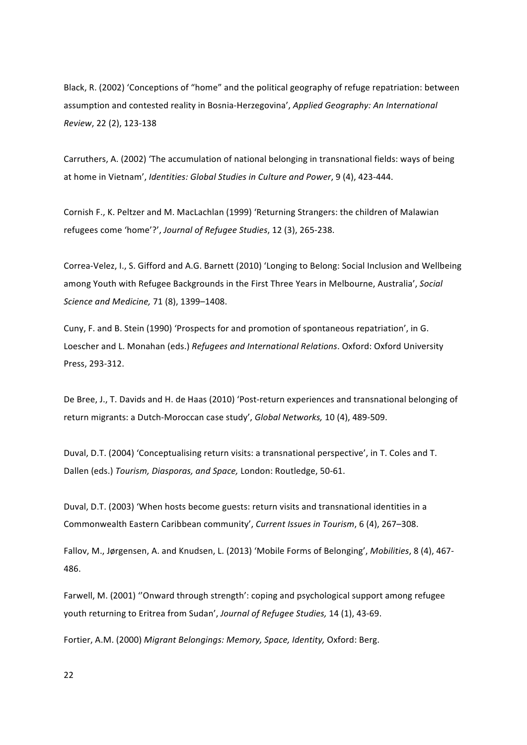Black, R. (2002) 'Conceptions of "home" and the political geography of refuge repatriation: between assumption and contested reality in Bosnia-Herzegovina', *Applied Geography: An International Review*, 22 (2), 123-138

Carruthers, A. (2002) 'The accumulation of national belonging in transnational fields: ways of being at home in Vietnam', *Identities: Global Studies in Culture and Power*, 9 (4), 423-444.

Cornish F., K. Peltzer and M. MacLachlan (1999) 'Returning Strangers: the children of Malawian refugees come 'home'?', *Journal of Refugee Studies*, 12 (3), 265-238.

Correa-Velez, I., S. Gifford and A.G. Barnett (2010) 'Longing to Belong: Social Inclusion and Wellbeing among Youth with Refugee Backgrounds in the First Three Years in Melbourne, Australia', *Social Science and Medicine,* 71 (8), 1399–1408. 

Cuny, F. and B. Stein (1990) 'Prospects for and promotion of spontaneous repatriation', in G. Loescher and L. Monahan (eds.) *Refugees and International Relations*. Oxford: Oxford University Press, 293-312. 

De Bree, J., T. Davids and H. de Haas (2010) 'Post-return experiences and transnational belonging of return migrants: a Dutch-Moroccan case study', *Global Networks*, 10 (4), 489-509.

Duval, D.T. (2004) 'Conceptualising return visits: a transnational perspective', in T. Coles and T. Dallen (eds.) *Tourism, Diasporas, and Space, London: Routledge, 50-61.* 

Duval, D.T. (2003) 'When hosts become guests: return visits and transnational identities in a Commonwealth Eastern Caribbean community', *Current Issues in Tourism*, 6 (4), 267–308.

Fallov, M., Jørgensen, A. and Knudsen, L. (2013) 'Mobile Forms of Belonging', *Mobilities*, 8 (4), 467-486.

Farwell, M. (2001) "Onward through strength': coping and psychological support among refugee youth returning to Eritrea from Sudan', *Journal of Refugee Studies*, 14 (1), 43-69.

Fortier, A.M. (2000) Migrant Belongings: Memory, Space, Identity, Oxford: Berg.

22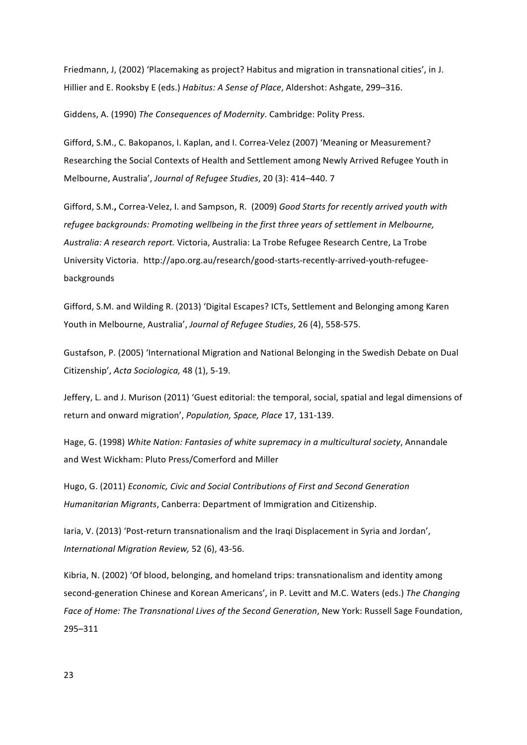Friedmann, J, (2002) 'Placemaking as project? Habitus and migration in transnational cities', in J. Hillier and E. Rooksby E (eds.) *Habitus: A Sense of Place*, Aldershot: Ashgate, 299-316.

Giddens, A. (1990) *The Consequences of Modernity*. Cambridge: Polity Press.

Gifford, S.M., C. Bakopanos, I. Kaplan, and I. Correa-Velez (2007) 'Meaning or Measurement? Researching the Social Contexts of Health and Settlement among Newly Arrived Refugee Youth in Melbourne, Australia', *Journal of Refugee Studies*, 20 (3): 414-440. 7

Gifford, S.M., Correa-Velez, I. and Sampson, R. (2009) *Good Starts for recently arrived youth with* refugee backgrounds: Promoting wellbeing in the first three years of settlement in Melbourne, *Australia: A research report.* Victoria, Australia: La Trobe Refugee Research Centre, La Trobe University Victoria. http://apo.org.au/research/good-starts-recently-arrived-youth-refugeebackgrounds

Gifford, S.M. and Wilding R. (2013) 'Digital Escapes? ICTs, Settlement and Belonging among Karen Youth in Melbourne, Australia', *Journal of Refugee Studies*, 26 (4), 558-575.

Gustafson, P. (2005) 'International Migration and National Belonging in the Swedish Debate on Dual Citizenship', *Acta Sociologica,* 48 (1), 5-19. 

Jeffery, L. and J. Murison (2011) 'Guest editorial: the temporal, social, spatial and legal dimensions of return and onward migration', *Population*, *Space*, *Place* 17, 131-139.

Hage, G. (1998) White Nation: Fantasies of white supremacy in a multicultural society, Annandale and West Wickham: Pluto Press/Comerford and Miller

Hugo, G. (2011) *Economic, Civic and Social Contributions of First and Second Generation Humanitarian Migrants*, Canberra: Department of Immigration and Citizenship.

Iaria, V. (2013) 'Post-return transnationalism and the Iraqi Displacement in Syria and Jordan', *International Migration Review,* 52 (6), 43-56. 

Kibria, N. (2002) 'Of blood, belonging, and homeland trips: transnationalism and identity among second-generation Chinese and Korean Americans', in P. Levitt and M.C. Waters (eds.) The Changing Face of Home: The Transnational Lives of the Second Generation, New York: Russell Sage Foundation, 295–311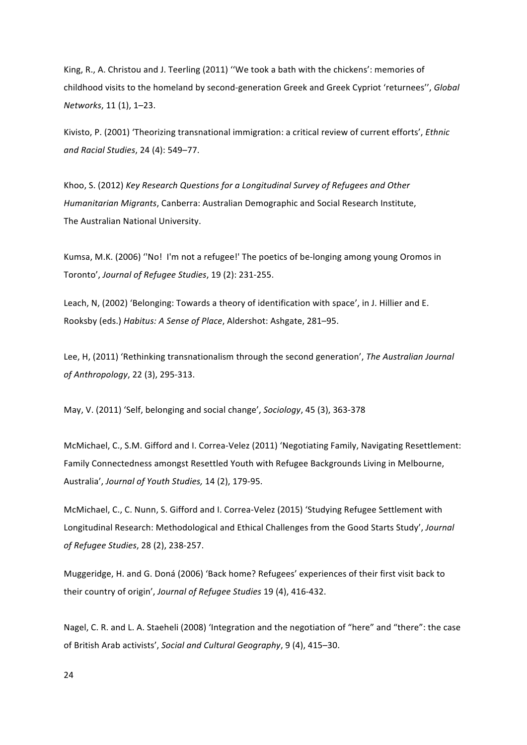King, R., A. Christou and J. Teerling (2011) "We took a bath with the chickens': memories of childhood visits to the homeland by second-generation Greek and Greek Cypriot 'returnees", *Global Networks*, 11 (1), 1–23.

Kivisto, P. (2001) 'Theorizing transnational immigration: a critical review of current efforts', *Ethnic and Racial Studies*, 24 (4): 549–77.

Khoo, S. (2012) Key Research Questions for a Longitudinal Survey of Refugees and Other *Humanitarian Migrants*, Canberra: Australian Demographic and Social Research Institute, The Australian National University.

Kumsa, M.K. (2006) "No! I'm not a refugee!' The poetics of be-longing among young Oromos in Toronto', Journal of Refugee Studies, 19 (2): 231-255.

Leach, N, (2002) 'Belonging: Towards a theory of identification with space', in J. Hillier and E. Rooksby (eds.) Habitus: A Sense of Place, Aldershot: Ashgate, 281-95.

Lee, H, (2011) 'Rethinking transnationalism through the second generation', *The Australian Journal of Anthropology*, 22 (3), 295-313.

May, V. (2011) 'Self, belonging and social change', *Sociology*, 45 (3), 363-378

McMichael, C., S.M. Gifford and I. Correa-Velez (2011) 'Negotiating Family, Navigating Resettlement: Family Connectedness amongst Resettled Youth with Refugee Backgrounds Living in Melbourne, Australia', *Journal of Youth Studies*, 14 (2), 179-95.

McMichael, C., C. Nunn, S. Gifford and I. Correa-Velez (2015) 'Studying Refugee Settlement with Longitudinal Research: Methodological and Ethical Challenges from the Good Starts Study', *Journal of Refugee Studies*, 28 (2), 238-257. 

Muggeridge, H. and G. Doná (2006) 'Back home? Refugees' experiences of their first visit back to their country of origin', *Journal of Refugee Studies* 19 (4), 416-432.

Nagel, C. R. and L. A. Staeheli (2008) 'Integration and the negotiation of "here" and "there": the case of British Arab activists', *Social and Cultural Geography*, 9 (4), 415–30.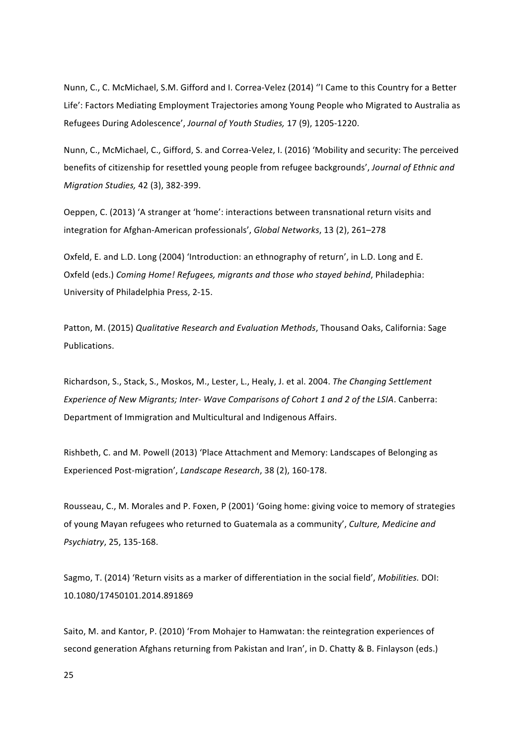Nunn, C., C. McMichael, S.M. Gifford and I. Correa-Velez (2014) "I Came to this Country for a Better Life': Factors Mediating Employment Trajectories among Young People who Migrated to Australia as Refugees During Adolescence', *Journal of Youth Studies,* 17 (9), 1205-1220.

Nunn, C., McMichael, C., Gifford, S. and Correa-Velez, I. (2016) 'Mobility and security: The perceived benefits of citizenship for resettled young people from refugee backgrounds', Journal of Ethnic and *Migration Studies,* 42 (3), 382-399. 

Oeppen, C. (2013) 'A stranger at 'home': interactions between transnational return visits and integration for Afghan-American professionals', *Global Networks*, 13 (2), 261–278

Oxfeld, E. and L.D. Long (2004) 'Introduction: an ethnography of return', in L.D. Long and E. Oxfeld (eds.) Coming Home! Refugees, migrants and those who stayed behind, Philadephia: University of Philadelphia Press, 2-15.

Patton, M. (2015) *Qualitative Research and Evaluation Methods*, Thousand Oaks, California: Sage Publications. 

Richardson, S., Stack, S., Moskos, M., Lester, L., Healy, J. et al. 2004. *The Changing Settlement Experience of New Migrants; Inter- Wave Comparisons of Cohort 1 and 2 of the LSIA. Canberra:* Department of Immigration and Multicultural and Indigenous Affairs.

Rishbeth, C. and M. Powell (2013) 'Place Attachment and Memory: Landscapes of Belonging as Experienced Post-migration', *Landscape Research*, 38 (2), 160-178.

Rousseau, C., M. Morales and P. Foxen, P (2001) 'Going home: giving voice to memory of strategies of young Mayan refugees who returned to Guatemala as a community', Culture, Medicine and *Psychiatry*, 25, 135-168. 

Sagmo, T. (2014) 'Return visits as a marker of differentiation in the social field', *Mobilities*. DOI: 10.1080/17450101.2014.891869

Saito, M. and Kantor, P. (2010) 'From Mohajer to Hamwatan: the reintegration experiences of second generation Afghans returning from Pakistan and Iran', in D. Chatty & B. Finlayson (eds.)